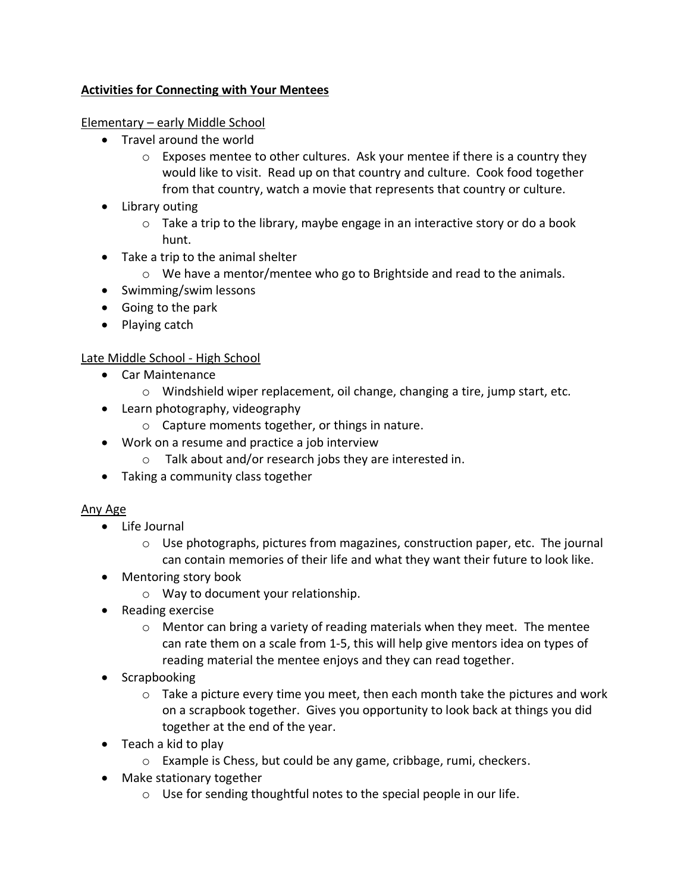# **Activities for Connecting with Your Mentees**

## Elementary – early Middle School

- Travel around the world
	- $\circ$  Exposes mentee to other cultures. Ask your mentee if there is a country they would like to visit. Read up on that country and culture. Cook food together from that country, watch a movie that represents that country or culture.
- Library outing
	- $\circ$  Take a trip to the library, maybe engage in an interactive story or do a book hunt.
- Take a trip to the animal shelter
	- $\circ$  We have a mentor/mentee who go to Brightside and read to the animals.
- Swimming/swim lessons
- Going to the park
- Playing catch

## Late Middle School - High School

- Car Maintenance
	- $\circ$  Windshield wiper replacement, oil change, changing a tire, jump start, etc.
- Learn photography, videography
	- o Capture moments together, or things in nature.
- Work on a resume and practice a job interview
	- o Talk about and/or research jobs they are interested in.
- Taking a community class together

## Any Age

- Life Journal
	- o Use photographs, pictures from magazines, construction paper, etc. The journal can contain memories of their life and what they want their future to look like.
- Mentoring story book
	- o Way to document your relationship.
- Reading exercise
	- $\circ$  Mentor can bring a variety of reading materials when they meet. The mentee can rate them on a scale from 1-5, this will help give mentors idea on types of reading material the mentee enjoys and they can read together.
- Scrapbooking
	- $\circ$  Take a picture every time you meet, then each month take the pictures and work on a scrapbook together. Gives you opportunity to look back at things you did together at the end of the year.
- Teach a kid to play
	- o Example is Chess, but could be any game, cribbage, rumi, checkers.
- Make stationary together
	- o Use for sending thoughtful notes to the special people in our life.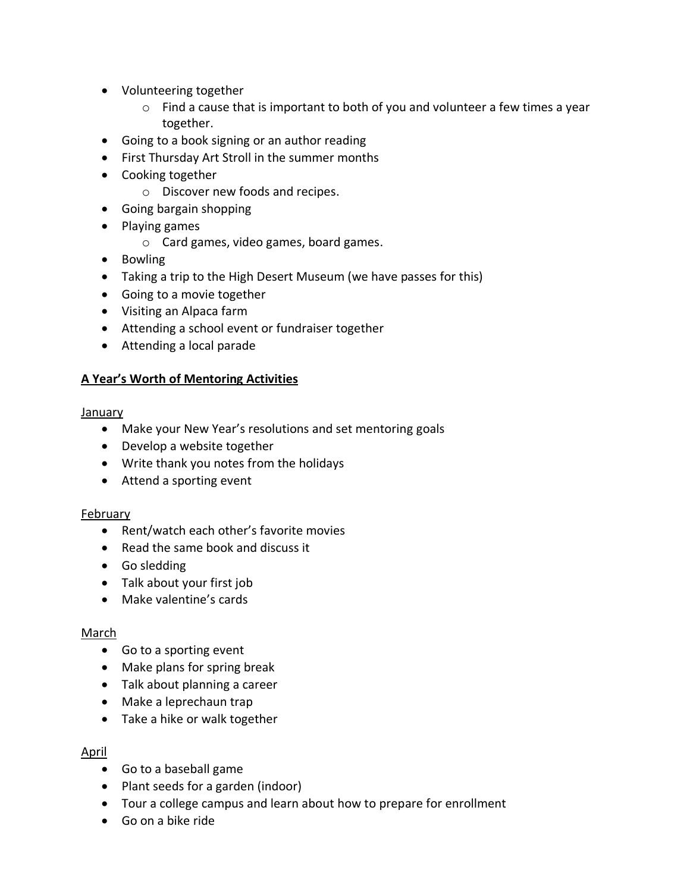- Volunteering together
	- o Find a cause that is important to both of you and volunteer a few times a year together.
- Going to a book signing or an author reading
- First Thursday Art Stroll in the summer months
- Cooking together
	- o Discover new foods and recipes.
- Going bargain shopping
- Playing games
	- o Card games, video games, board games.
- Bowling
- Taking a trip to the High Desert Museum (we have passes for this)
- Going to a movie together
- Visiting an Alpaca farm
- Attending a school event or fundraiser together
- Attending a local parade

# **A Year's Worth of Mentoring Activities**

January

- Make your New Year's resolutions and set mentoring goals
- Develop a website together
- Write thank you notes from the holidays
- Attend a sporting event

## February

- Rent/watch each other's favorite movies
- Read the same book and discuss it
- Go sledding
- Talk about your first job
- Make valentine's cards

### March

- Go to a sporting event
- Make plans for spring break
- Talk about planning a career
- Make a leprechaun trap
- Take a hike or walk together

## April

- Go to a baseball game
- Plant seeds for a garden (indoor)
- Tour a college campus and learn about how to prepare for enrollment
- Go on a bike ride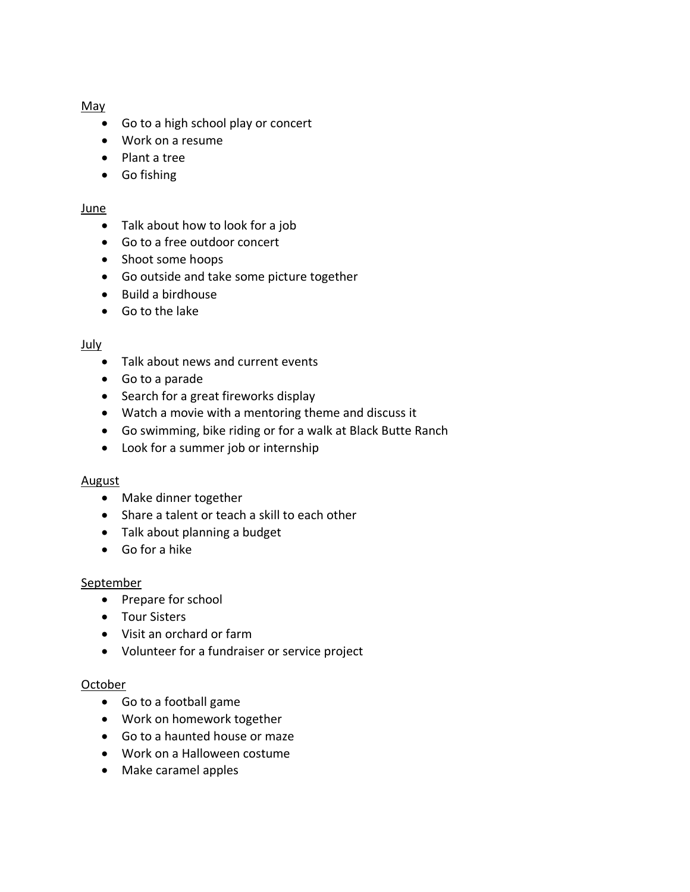#### May

- Go to a high school play or concert
- Work on a resume
- Plant a tree
- Go fishing

#### June

- Talk about how to look for a job
- Go to a free outdoor concert
- Shoot some hoops
- Go outside and take some picture together
- Build a birdhouse
- Go to the lake

#### July

- Talk about news and current events
- Go to a parade
- Search for a great fireworks display
- Watch a movie with a mentoring theme and discuss it
- Go swimming, bike riding or for a walk at Black Butte Ranch
- Look for a summer job or internship

### **August**

- Make dinner together
- Share a talent or teach a skill to each other
- Talk about planning a budget
- Go for a hike

### **September**

- Prepare for school
- Tour Sisters
- Visit an orchard or farm
- Volunteer for a fundraiser or service project

### October

- Go to a football game
- Work on homework together
- Go to a haunted house or maze
- Work on a Halloween costume
- Make caramel apples